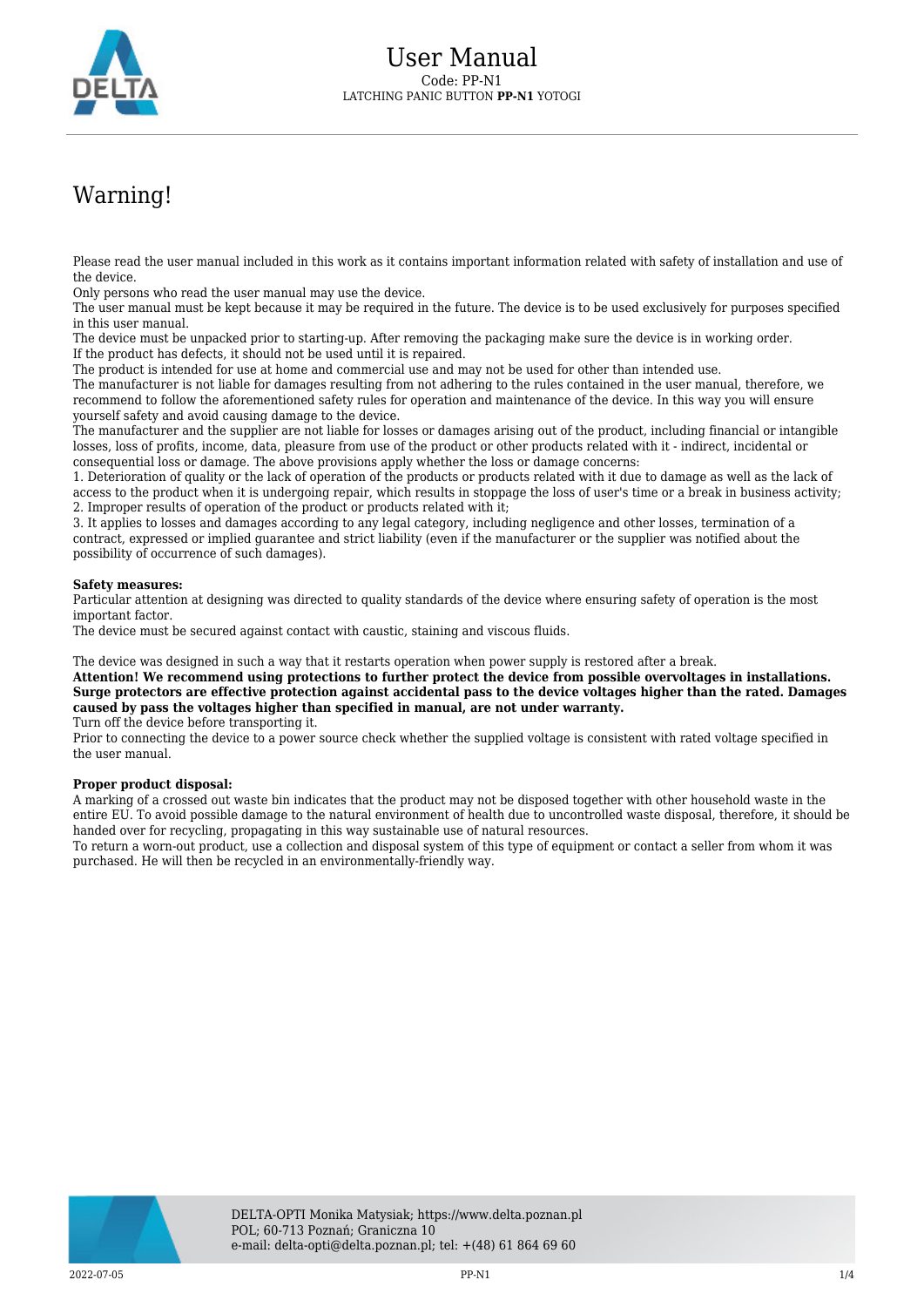

## Warning!

Please read the user manual included in this work as it contains important information related with safety of installation and use of the device.

Only persons who read the user manual may use the device.

The user manual must be kept because it may be required in the future. The device is to be used exclusively for purposes specified in this user manual.

The device must be unpacked prior to starting-up. After removing the packaging make sure the device is in working order. If the product has defects, it should not be used until it is repaired.

The product is intended for use at home and commercial use and may not be used for other than intended use.

The manufacturer is not liable for damages resulting from not adhering to the rules contained in the user manual, therefore, we recommend to follow the aforementioned safety rules for operation and maintenance of the device. In this way you will ensure yourself safety and avoid causing damage to the device.

The manufacturer and the supplier are not liable for losses or damages arising out of the product, including financial or intangible losses, loss of profits, income, data, pleasure from use of the product or other products related with it - indirect, incidental or consequential loss or damage. The above provisions apply whether the loss or damage concerns:

1. Deterioration of quality or the lack of operation of the products or products related with it due to damage as well as the lack of access to the product when it is undergoing repair, which results in stoppage the loss of user's time or a break in business activity; 2. Improper results of operation of the product or products related with it;

3. It applies to losses and damages according to any legal category, including negligence and other losses, termination of a contract, expressed or implied guarantee and strict liability (even if the manufacturer or the supplier was notified about the possibility of occurrence of such damages).

## **Safety measures:**

Particular attention at designing was directed to quality standards of the device where ensuring safety of operation is the most important factor.

The device must be secured against contact with caustic, staining and viscous fluids.

The device was designed in such a way that it restarts operation when power supply is restored after a break.

**Attention! We recommend using protections to further protect the device from possible overvoltages in installations. Surge protectors are effective protection against accidental pass to the device voltages higher than the rated. Damages caused by pass the voltages higher than specified in manual, are not under warranty.** Turn off the device before transporting it.

Prior to connecting the device to a power source check whether the supplied voltage is consistent with rated voltage specified in the user manual.

## **Proper product disposal:**

A marking of a crossed out waste bin indicates that the product may not be disposed together with other household waste in the entire EU. To avoid possible damage to the natural environment of health due to uncontrolled waste disposal, therefore, it should be handed over for recycling, propagating in this way sustainable use of natural resources.

To return a worn-out product, use a collection and disposal system of this type of equipment or contact a seller from whom it was purchased. He will then be recycled in an environmentally-friendly way.

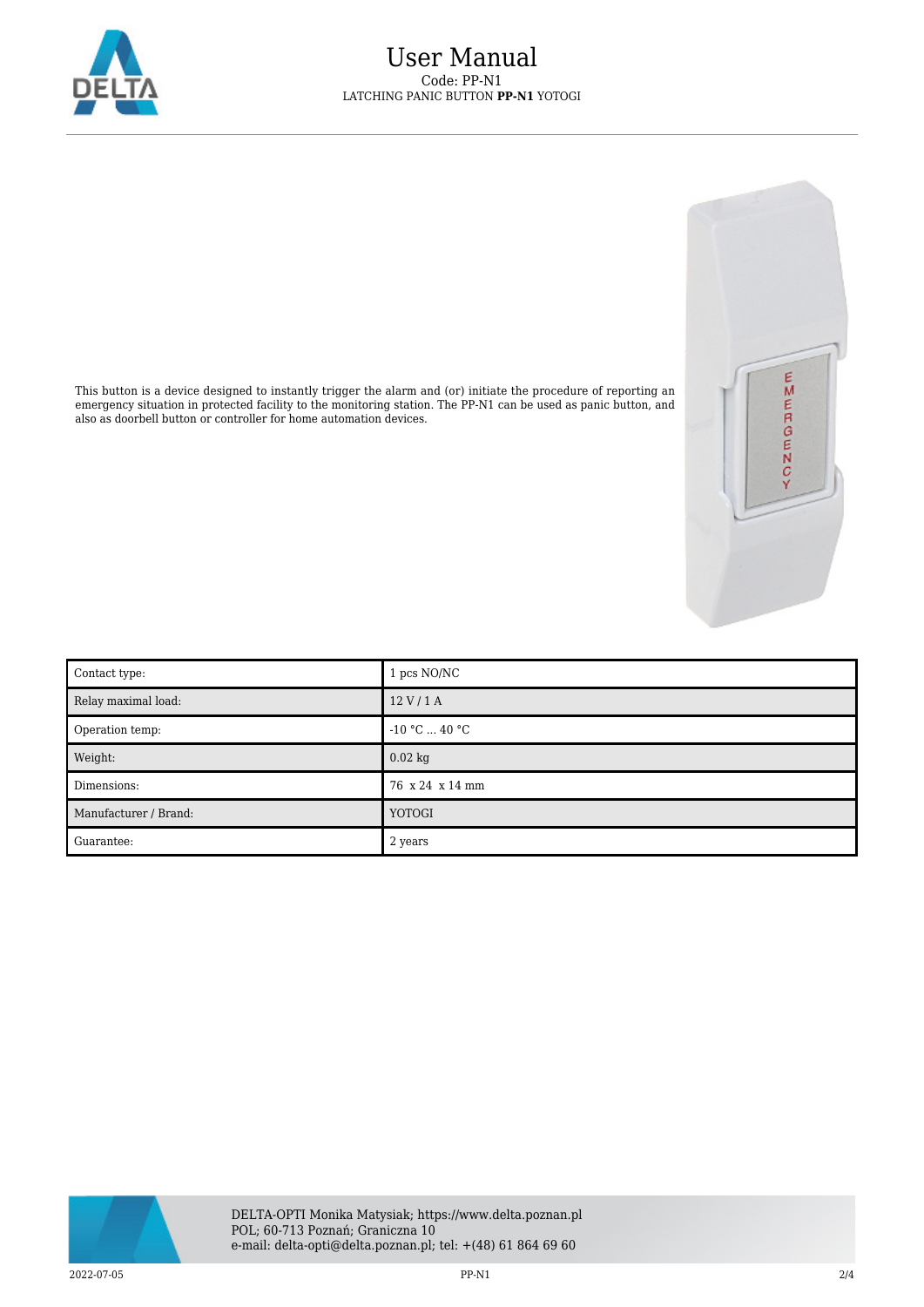



This button is a device designed to instantly trigger the alarm and (or) initiate the procedure of reporting an emergency situation in protected facility to the monitoring station. The PP-N1 can be used as panic button, and also as doorbell button or controller for home automation devices.

| Contact type:         | 1 pcs NO/NC     |
|-----------------------|-----------------|
| Relay maximal load:   | 12 V/1 A        |
| Operation temp:       | $-10 °C  40 °C$ |
| Weight:               | $0.02$ kg       |
| Dimensions:           | 76 x 24 x 14 mm |
| Manufacturer / Brand: | YOTOGI          |
| Guarantee:            | 2 years         |

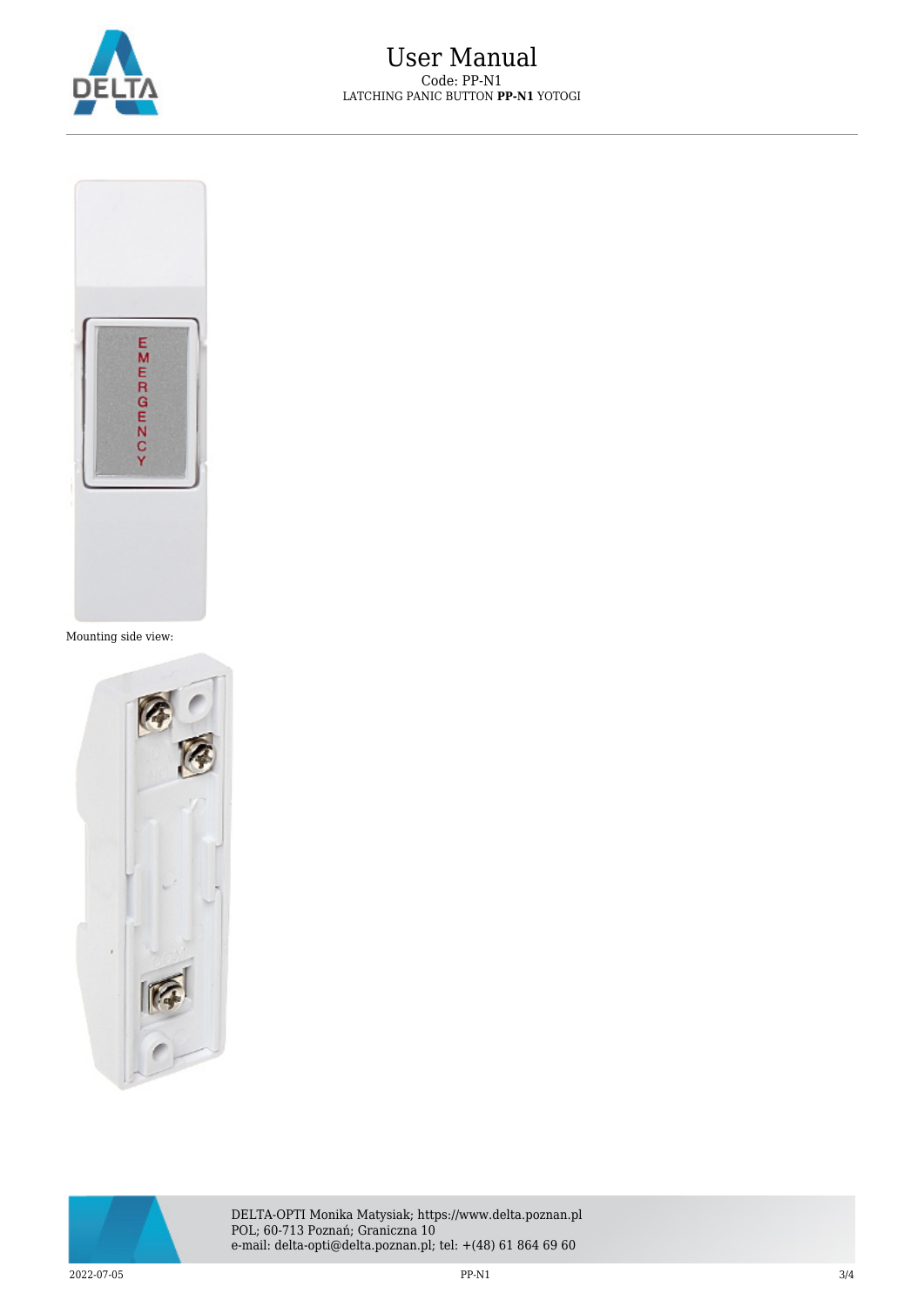



Mounting side view:





DELTA-OPTI Monika Matysiak; https://www.delta.poznan.pl POL; 60-713 Poznań; Graniczna 10 e-mail: delta-opti@delta.poznan.pl; tel: +(48) 61 864 69 60

 $2022-07-05$  3/4